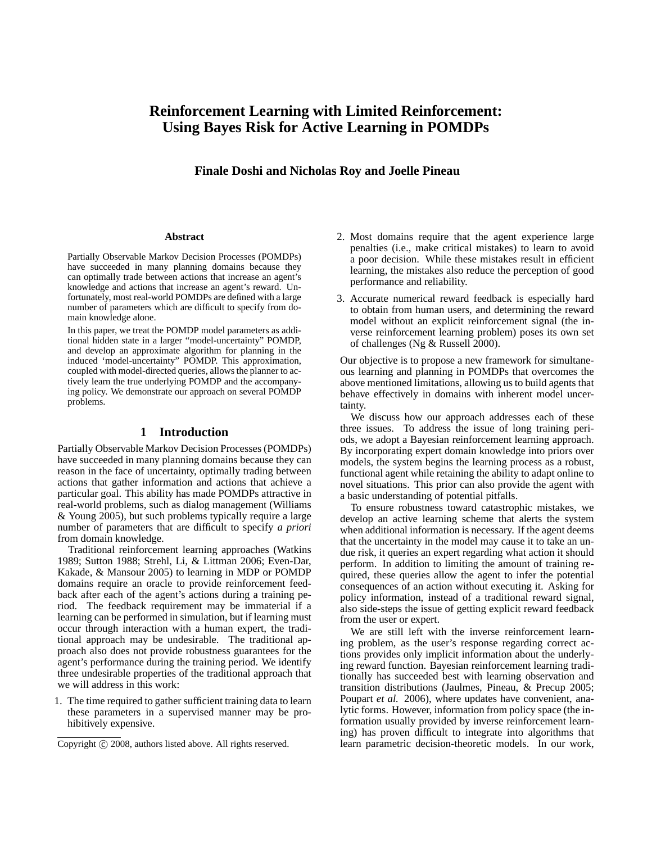# **Reinforcement Learning with Limited Reinforcement: Using Bayes Risk for Active Learning in POMDPs**

**Finale Doshi and Nicholas Roy and Joelle Pineau**

#### **Abstract**

Partially Observable Markov Decision Processes (POMDPs) have succeeded in many planning domains because they can optimally trade between actions that increase an agent's knowledge and actions that increase an agent's reward. Unfortunately, most real-world POMDPs are defined with a large number of parameters which are difficult to specify from domain knowledge alone.

In this paper, we treat the POMDP model parameters as additional hidden state in a larger "model-uncertainty" POMDP, and develop an approximate algorithm for planning in the induced 'model-uncertainty" POMDP. This approximation, coupled with model-directed queries, allows the planner to actively learn the true underlying POMDP and the accompanying policy. We demonstrate our approach on several POMDP problems.

## **1 Introduction**

Partially Observable Markov Decision Processes (POMDPs) have succeeded in many planning domains because they can reason in the face of uncertainty, optimally trading between actions that gather information and actions that achieve a particular goal. This ability has made POMDPs attractive in real-world problems, such as dialog management (Williams & Young 2005), but such problems typically require a large number of parameters that are difficult to specify *a priori* from domain knowledge.

Traditional reinforcement learning approaches (Watkins 1989; Sutton 1988; Strehl, Li, & Littman 2006; Even-Dar, Kakade, & Mansour 2005) to learning in MDP or POMDP domains require an oracle to provide reinforcement feedback after each of the agent's actions during a training period. The feedback requirement may be immaterial if a learning can be performed in simulation, but if learning must occur through interaction with a human expert, the traditional approach may be undesirable. The traditional approach also does not provide robustness guarantees for the agent's performance during the training period. We identify three undesirable properties of the traditional approach that we will address in this work:

1. The time required to gather sufficient training data to learn these parameters in a supervised manner may be prohibitively expensive.

- 2. Most domains require that the agent experience large penalties (i.e., make critical mistakes) to learn to avoid a poor decision. While these mistakes result in efficient learning, the mistakes also reduce the perception of good performance and reliability.
- 3. Accurate numerical reward feedback is especially hard to obtain from human users, and determining the reward model without an explicit reinforcement signal (the inverse reinforcement learning problem) poses its own set of challenges (Ng & Russell 2000).

Our objective is to propose a new framework for simultaneous learning and planning in POMDPs that overcomes the above mentioned limitations, allowing us to build agents that behave effectively in domains with inherent model uncertainty.

We discuss how our approach addresses each of these three issues. To address the issue of long training periods, we adopt a Bayesian reinforcement learning approach. By incorporating expert domain knowledge into priors over models, the system begins the learning process as a robust, functional agent while retaining the ability to adapt online to novel situations. This prior can also provide the agent with a basic understanding of potential pitfalls.

To ensure robustness toward catastrophic mistakes, we develop an active learning scheme that alerts the system when additional information is necessary. If the agent deems that the uncertainty in the model may cause it to take an undue risk, it queries an expert regarding what action it should perform. In addition to limiting the amount of training required, these queries allow the agent to infer the potential consequences of an action without executing it. Asking for policy information, instead of a traditional reward signal, also side-steps the issue of getting explicit reward feedback from the user or expert.

We are still left with the inverse reinforcement learning problem, as the user's response regarding correct actions provides only implicit information about the underlying reward function. Bayesian reinforcement learning traditionally has succeeded best with learning observation and transition distributions (Jaulmes, Pineau, & Precup 2005; Poupart *et al.* 2006), where updates have convenient, analytic forms. However, information from policy space (the information usually provided by inverse reinforcement learning) has proven difficult to integrate into algorithms that learn parametric decision-theoretic models. In our work,

Copyright © 2008, authors listed above. All rights reserved.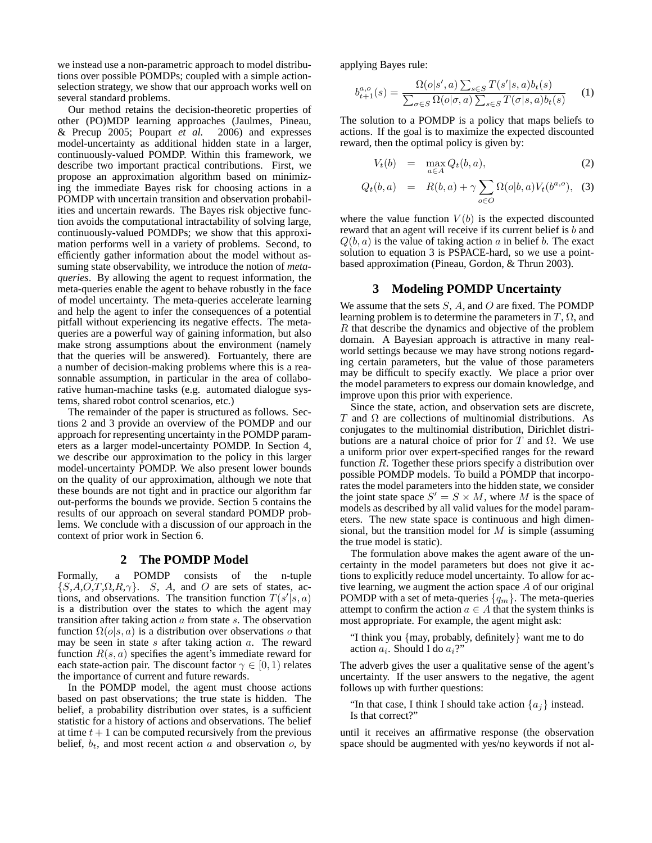we instead use a non-parametric approach to model distributions over possible POMDPs; coupled with a simple actionselection strategy, we show that our approach works well on several standard problems.

Our method retains the decision-theoretic properties of other (PO)MDP learning approaches (Jaulmes, Pineau, & Precup 2005; Poupart *et al.* 2006) and expresses model-uncertainty as additional hidden state in a larger, continuously-valued POMDP. Within this framework, we describe two important practical contributions. First, we propose an approximation algorithm based on minimizing the immediate Bayes risk for choosing actions in a POMDP with uncertain transition and observation probabilities and uncertain rewards. The Bayes risk objective function avoids the computational intractability of solving large, continuously-valued POMDPs; we show that this approximation performs well in a variety of problems. Second, to efficiently gather information about the model without assuming state observability, we introduce the notion of *metaqueries*. By allowing the agent to request information, the meta-queries enable the agent to behave robustly in the face of model uncertainty. The meta-queries accelerate learning and help the agent to infer the consequences of a potential pitfall without experiencing its negative effects. The metaqueries are a powerful way of gaining information, but also make strong assumptions about the environment (namely that the queries will be answered). Fortuantely, there are a number of decision-making problems where this is a reasonnable assumption, in particular in the area of collaborative human-machine tasks (e.g. automated dialogue systems, shared robot control scenarios, etc.)

The remainder of the paper is structured as follows. Sections 2 and 3 provide an overview of the POMDP and our approach for representing uncertainty in the POMDP parameters as a larger model-uncertainty POMDP. In Section 4, we describe our approximation to the policy in this larger model-uncertainty POMDP. We also present lower bounds on the quality of our approximation, although we note that these bounds are not tight and in practice our algorithm far out-performs the bounds we provide. Section 5 contains the results of our approach on several standard POMDP problems. We conclude with a discussion of our approach in the context of prior work in Section 6.

### **2 The POMDP Model**

Formally, a POMDP consists of the n-tuple  ${S, A, O, T, \Omega, R, \gamma}$ . S, A, and O are sets of states, actions, and observations. The transition function  $T(s'|s, a)$ is a distribution over the states to which the agent may transition after taking action  $a$  from state  $s$ . The observation function  $\Omega(o|s, a)$  is a distribution over observations o that may be seen in state  $s$  after taking action  $a$ . The reward function  $R(s, a)$  specifies the agent's immediate reward for each state-action pair. The discount factor  $\gamma \in [0, 1)$  relates the importance of current and future rewards.

In the POMDP model, the agent must choose actions based on past observations; the true state is hidden. The belief, a probability distribution over states, is a sufficient statistic for a history of actions and observations. The belief at time  $t + 1$  can be computed recursively from the previous belief,  $b_t$ , and most recent action a and observation o, by applying Bayes rule:

$$
b_{t+1}^{a,o}(s) = \frac{\Omega(o|s',a) \sum_{s \in S} T(s'|s,a)b_t(s)}{\sum_{\sigma \in S} \Omega(o|\sigma,a) \sum_{s \in S} T(\sigma|s,a)b_t(s)} \tag{1}
$$

The solution to a POMDP is a policy that maps beliefs to actions. If the goal is to maximize the expected discounted reward, then the optimal policy is given by:

$$
V_t(b) = \max_{a \in A} Q_t(b, a), \tag{2}
$$

$$
Q_t(b, a) = R(b, a) + \gamma \sum_{o \in O} \Omega(o|b, a) V_t(b^{a, o}), \quad (3)
$$

where the value function  $V(b)$  is the expected discounted reward that an agent will receive if its current belief is b and  $Q(b, a)$  is the value of taking action a in belief b. The exact solution to equation 3 is PSPACE-hard, so we use a pointbased approximation (Pineau, Gordon, & Thrun 2003).

## **3 Modeling POMDP Uncertainty**

We assume that the sets  $S$ ,  $A$ , and  $O$  are fixed. The POMDP learning problem is to determine the parameters in  $T$ ,  $\Omega$ , and R that describe the dynamics and objective of the problem domain. A Bayesian approach is attractive in many realworld settings because we may have strong notions regarding certain parameters, but the value of those parameters may be difficult to specify exactly. We place a prior over the model parameters to express our domain knowledge, and improve upon this prior with experience.

Since the state, action, and observation sets are discrete, T and  $\Omega$  are collections of multinomial distributions. As conjugates to the multinomial distribution, Dirichlet distributions are a natural choice of prior for T and  $\Omega$ . We use a uniform prior over expert-specified ranges for the reward function R. Together these priors specify a distribution over possible POMDP models. To build a POMDP that incorporates the model parameters into the hidden state, we consider the joint state space  $S' = S \times M$ , where M is the space of models as described by all valid values for the model parameters. The new state space is continuous and high dimensional, but the transition model for  $M$  is simple (assuming the true model is static).

The formulation above makes the agent aware of the uncertainty in the model parameters but does not give it actions to explicitly reduce model uncertainty. To allow for active learning, we augment the action space A of our original POMDP with a set of meta-queries  $\{q_m\}$ . The meta-queries attempt to confirm the action  $a \in A$  that the system thinks is most appropriate. For example, the agent might ask:

"I think you {may, probably, definitely} want me to do action  $a_i$ . Should I do  $a_i$ ?"

The adverb gives the user a qualitative sense of the agent's uncertainty. If the user answers to the negative, the agent follows up with further questions:

"In that case, I think I should take action  $\{a_i\}$  instead. Is that correct?"

until it receives an affirmative response (the observation space should be augmented with yes/no keywords if not al-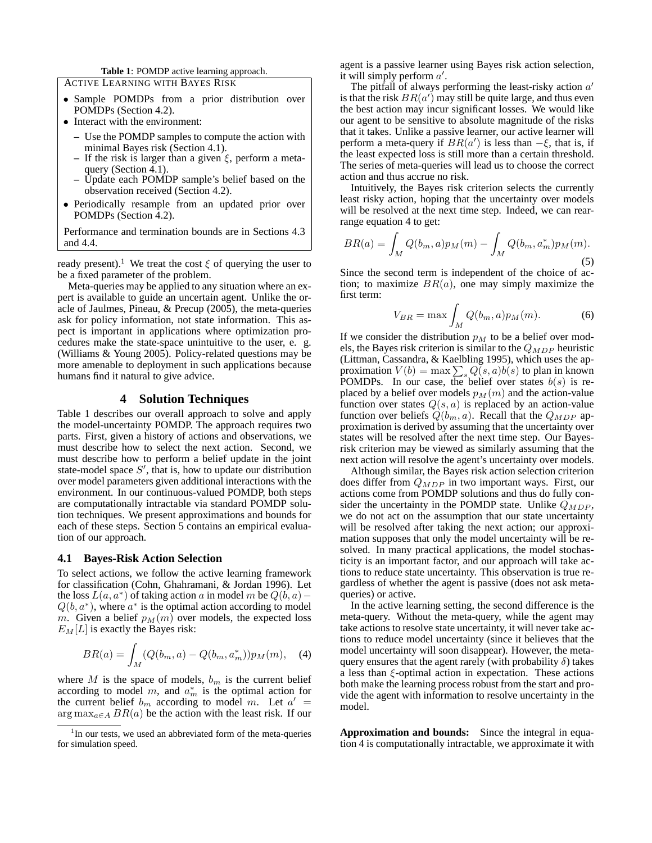#### **Table 1**: POMDP active learning approach. ACTIVE LEARNING WITH BAYES RISK

- Sample POMDPs from a prior distribution over POMDPs (Section 4.2).
- Interact with the environment:
	- **–** Use the POMDP samples to compute the action with minimal Bayes risk (Section 4.1).
	- **–** If the risk is larger than a given ξ, perform a metaquery (Section 4.1).
	- **–** Update each POMDP sample's belief based on the observation received (Section 4.2).
- Periodically resample from an updated prior over POMDPs (Section 4.2).

Performance and termination bounds are in Sections 4.3 and 4.4.

ready present).<sup>1</sup> We treat the cost  $\xi$  of querying the user to be a fixed parameter of the problem.

Meta-queries may be applied to any situation where an expert is available to guide an uncertain agent. Unlike the oracle of Jaulmes, Pineau, & Precup (2005), the meta-queries ask for policy information, not state information. This aspect is important in applications where optimization procedures make the state-space unintuitive to the user, e. g. (Williams & Young 2005). Policy-related questions may be more amenable to deployment in such applications because humans find it natural to give advice.

## **4 Solution Techniques**

Table 1 describes our overall approach to solve and apply the model-uncertainty POMDP. The approach requires two parts. First, given a history of actions and observations, we must describe how to select the next action. Second, we must describe how to perform a belief update in the joint state-model space  $S'$ , that is, how to update our distribution over model parameters given additional interactions with the environment. In our continuous-valued POMDP, both steps are computationally intractable via standard POMDP solution techniques. We present approximations and bounds for each of these steps. Section 5 contains an empirical evaluation of our approach.

#### **4.1 Bayes-Risk Action Selection**

To select actions, we follow the active learning framework for classification (Cohn, Ghahramani, & Jordan 1996). Let the loss  $L(a, a^*)$  of taking action a in model m be  $Q(b, a)$  –  $Q(b, a^*)$ , where  $a^*$  is the optimal action according to model m. Given a belief  $p_M(m)$  over models, the expected loss  $E_M[L]$  is exactly the Bayes risk:

$$
BR(a) = \int_M (Q(b_m, a) - Q(b_m, a_m^*)) p_M(m), \quad (4)
$$

where  $M$  is the space of models,  $b_m$  is the current belief according to model  $m$ , and  $a_m^*$  is the optimal action for the current belief  $b_m$  according to model m. Let  $a' =$  $\arg \max_{a \in A} BR(a)$  be the action with the least risk. If our

agent is a passive learner using Bayes risk action selection, it will simply perform  $a'$ .

The pitfall of always performing the least-risky action  $a'$ is that the risk  $BR(a')$  may still be quite large, and thus even the best action may incur significant losses. We would like our agent to be sensitive to absolute magnitude of the risks that it takes. Unlike a passive learner, our active learner will perform a meta-query if  $BR(a')$  is less than  $-\xi$ , that is, if the least expected loss is still more than a certain threshold. The series of meta-queries will lead us to choose the correct action and thus accrue no risk.

Intuitively, the Bayes risk criterion selects the currently least risky action, hoping that the uncertainty over models will be resolved at the next time step. Indeed, we can rearrange equation 4 to get:

$$
BR(a) = \int_M Q(b_m, a) p_M(m) - \int_M Q(b_m, a_m^*) p_M(m). \tag{5}
$$

Since the second term is independent of the choice of action; to maximize  $BR(a)$ , one may simply maximize the first term:

$$
V_{BR} = \max \int_M Q(b_m, a) p_M(m). \tag{6}
$$

If we consider the distribution  $p<sub>M</sub>$  to be a belief over models, the Bayes risk criterion is similar to the  $Q_{MDP}$  heuristic (Littman, Cassandra, & Kaelbling 1995), which uses the approximation  $V(b) = \max \sum_{s} Q(s, a)b(s)$  to plan in known POMDPs. In our case, the belief over states  $b(s)$  is replaced by a belief over models  $p_M(m)$  and the action-value function over states  $Q(s, a)$  is replaced by an action-value function over beliefs  $Q(b_m, a)$ . Recall that the  $Q_{MDP}$  approximation is derived by assuming that the uncertainty over states will be resolved after the next time step. Our Bayesrisk criterion may be viewed as similarly assuming that the next action will resolve the agent's uncertainty over models.

Although similar, the Bayes risk action selection criterion does differ from  $Q_{MDP}$  in two important ways. First, our actions come from POMDP solutions and thus do fully consider the uncertainty in the POMDP state. Unlike  $Q_{MDP}$ , we do not act on the assumption that our state uncertainty will be resolved after taking the next action; our approximation supposes that only the model uncertainty will be resolved. In many practical applications, the model stochasticity is an important factor, and our approach will take actions to reduce state uncertainty. This observation is true regardless of whether the agent is passive (does not ask metaqueries) or active.

In the active learning setting, the second difference is the meta-query. Without the meta-query, while the agent may take actions to resolve state uncertainty, it will never take actions to reduce model uncertainty (since it believes that the model uncertainty will soon disappear). However, the metaquery ensures that the agent rarely (with probability  $\delta$ ) takes a less than  $\xi$ -optimal action in expectation. These actions both make the learning process robust from the start and provide the agent with information to resolve uncertainty in the model.

**Approximation and bounds:** Since the integral in equation 4 is computationally intractable, we approximate it with

<sup>&</sup>lt;sup>1</sup>In our tests, we used an abbreviated form of the meta-queries for simulation speed.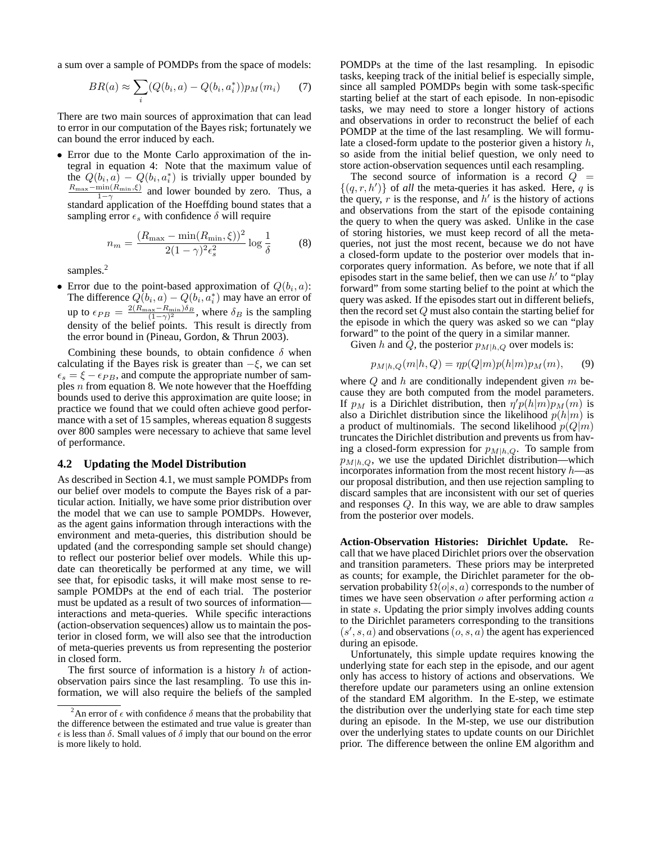a sum over a sample of POMDPs from the space of models:

$$
BR(a) \approx \sum_{i} (Q(b_i, a) - Q(b_i, a_i^*)) p_M(m_i) \tag{7}
$$

There are two main sources of approximation that can lead to error in our computation of the Bayes risk; fortunately we can bound the error induced by each.

• Error due to the Monte Carlo approximation of the integral in equation 4: Note that the maximum value of the  $Q(b_i, a) - Q(b_i, a_i^*)$  is trivially upper bounded by  $R_{\text{max}}-\text{min}(R_{\text{min}},\xi)$  $\frac{\min(K_{\min}, \xi)}{1-\gamma}$  and lower bounded by zero. Thus, a standard application of the Hoeffding bound states that a sampling error  $\epsilon_s$  with confidence  $\delta$  will require

$$
n_m = \frac{(R_{\text{max}} - \min(R_{\text{min}}, \xi))^2}{2(1 - \gamma)^2 \epsilon_s^2} \log \frac{1}{\delta}
$$
 (8)

samples.<sup>2</sup>

• Error due to the point-based approximation of  $Q(b_i, a)$ : The difference  $Q(b_i, a) - Q(b_i, a_i^*)$  may have an error of up to  $\epsilon_{PB} = \frac{2(R_{\text{max}}-R_{\text{min}})\delta_B}{(1-\gamma)^2}$ , where  $\delta_B$  is the sampling density of the belief points. This result is directly from the error bound in (Pineau, Gordon, & Thrun 2003).

Combining these bounds, to obtain confidence  $\delta$  when calculating if the Bayes risk is greater than  $-\xi$ , we can set  $\epsilon_s = \xi - \epsilon_{PB}$ , and compute the appropriate number of samples  $n$  from equation 8. We note however that the Hoeffding bounds used to derive this approximation are quite loose; in practice we found that we could often achieve good performance with a set of 15 samples, whereas equation 8 suggests over 800 samples were necessary to achieve that same level of performance.

#### **4.2 Updating the Model Distribution**

As described in Section 4.1, we must sample POMDPs from our belief over models to compute the Bayes risk of a particular action. Initially, we have some prior distribution over the model that we can use to sample POMDPs. However, as the agent gains information through interactions with the environment and meta-queries, this distribution should be updated (and the corresponding sample set should change) to reflect our posterior belief over models. While this update can theoretically be performed at any time, we will see that, for episodic tasks, it will make most sense to resample POMDPs at the end of each trial. The posterior must be updated as a result of two sources of information interactions and meta-queries. While specific interactions (action-observation sequences) allow us to maintain the posterior in closed form, we will also see that the introduction of meta-queries prevents us from representing the posterior in closed form.

The first source of information is a history  $h$  of actionobservation pairs since the last resampling. To use this information, we will also require the beliefs of the sampled POMDPs at the time of the last resampling. In episodic tasks, keeping track of the initial belief is especially simple, since all sampled POMDPs begin with some task-specific starting belief at the start of each episode. In non-episodic tasks, we may need to store a longer history of actions and observations in order to reconstruct the belief of each POMDP at the time of the last resampling. We will formulate a closed-form update to the posterior given a history  $h$ , so aside from the initial belief question, we only need to store action-observation sequences until each resampling.

The second source of information is a record  $Q =$  $\{(q, r, h')\}$  of *all* the meta-queries it has asked. Here, q is the query,  $r$  is the response, and  $h'$  is the history of actions and observations from the start of the episode containing the query to when the query was asked. Unlike in the case of storing histories, we must keep record of all the metaqueries, not just the most recent, because we do not have a closed-form update to the posterior over models that incorporates query information. As before, we note that if all episodes start in the same belief, then we can use  $h'$  to "play forward" from some starting belief to the point at which the query was asked. If the episodes start out in different beliefs, then the record set Q must also contain the starting belief for the episode in which the query was asked so we can "play forward" to the point of the query in a similar manner.

Given h and Q, the posterior  $p_{M|h,Q}$  over models is:

$$
p_{M|h,Q}(m|h,Q) = \eta p(Q|m)p(h|m)p_M(m), \qquad (9)
$$

where  $Q$  and  $h$  are conditionally independent given  $m$  because they are both computed from the model parameters. If  $p_M$  is a Dirichlet distribution, then  $\eta' p(h|m) p_M(m)$  is also a Dirichlet distribution since the likelihood  $p(h|m)$  is a product of multinomials. The second likelihood  $p(Q|m)$ truncates the Dirichlet distribution and prevents us from having a closed-form expression for  $p_{M|h,Q}$ . To sample from  $p_{M|h,Q}$ , we use the updated Dirichlet distribution—which incorporates information from the most recent history  $h$ —as our proposal distribution, and then use rejection sampling to discard samples that are inconsistent with our set of queries and responses Q. In this way, we are able to draw samples from the posterior over models.

**Action-Observation Histories: Dirichlet Update.** Recall that we have placed Dirichlet priors over the observation and transition parameters. These priors may be interpreted as counts; for example, the Dirichlet parameter for the observation probability  $\Omega(o|s, a)$  corresponds to the number of times we have seen observation  $o$  after performing action  $a$ in state s. Updating the prior simply involves adding counts to the Dirichlet parameters corresponding to the transitions  $(s', s, a)$  and observations  $(o, s, a)$  the agent has experienced during an episode.

Unfortunately, this simple update requires knowing the underlying state for each step in the episode, and our agent only has access to history of actions and observations. We therefore update our parameters using an online extension of the standard EM algorithm. In the E-step, we estimate the distribution over the underlying state for each time step during an episode. In the M-step, we use our distribution over the underlying states to update counts on our Dirichlet prior. The difference between the online EM algorithm and

<sup>&</sup>lt;sup>2</sup>An error of  $\epsilon$  with confidence  $\delta$  means that the probability that the difference between the estimated and true value is greater than  $\epsilon$  is less than  $\delta$ . Small values of  $\delta$  imply that our bound on the error is more likely to hold.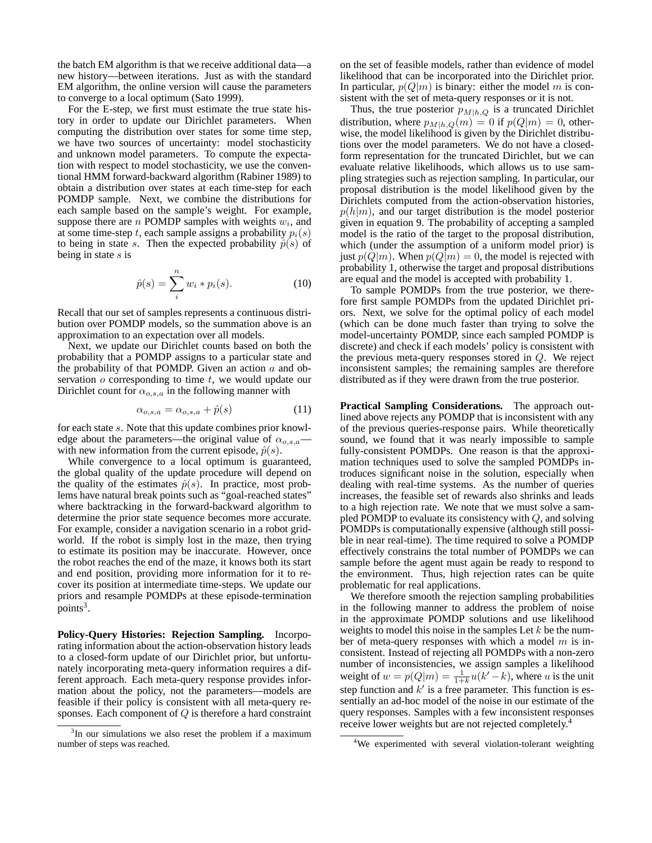the batch EM algorithm is that we receive additional data—a new history—between iterations. Just as with the standard EM algorithm, the online version will cause the parameters to converge to a local optimum (Sato 1999).

For the E-step, we first must estimate the true state history in order to update our Dirichlet parameters. When computing the distribution over states for some time step, we have two sources of uncertainty: model stochasticity and unknown model parameters. To compute the expectation with respect to model stochasticity, we use the conventional HMM forward-backward algorithm (Rabiner 1989) to obtain a distribution over states at each time-step for each POMDP sample. Next, we combine the distributions for each sample based on the sample's weight. For example, suppose there are  $n$  POMDP samples with weights  $w_i$ , and at some time-step t, each sample assigns a probability  $p_i(s)$ to being in state s. Then the expected probability  $\hat{p}(s)$  of being in state  $s$  is

$$
\hat{p}(s) = \sum_{i}^{n} w_i * p_i(s).
$$
 (10)

Recall that our set of samples represents a continuous distribution over POMDP models, so the summation above is an approximation to an expectation over all models.

Next, we update our Dirichlet counts based on both the probability that a POMDP assigns to a particular state and the probability of that POMDP. Given an action  $a$  and observation  $o$  corresponding to time  $t$ , we would update our Dirichlet count for  $\alpha_{o,s,a}$  in the following manner with

$$
\alpha_{o,s,a} = \alpha_{o,s,a} + \hat{p}(s) \tag{11}
$$

for each state s. Note that this update combines prior knowledge about the parameters—the original value of  $\alpha_{o,s,a}$  with new information from the current episode,  $\hat{p}(s)$ .

While convergence to a local optimum is guaranteed, the global quality of the update procedure will depend on the quality of the estimates  $\hat{p}(s)$ . In practice, most problems have natural break points such as "goal-reached states" where backtracking in the forward-backward algorithm to determine the prior state sequence becomes more accurate. For example, consider a navigation scenario in a robot gridworld. If the robot is simply lost in the maze, then trying to estimate its position may be inaccurate. However, once the robot reaches the end of the maze, it knows both its start and end position, providing more information for it to recover its position at intermediate time-steps. We update our priors and resample POMDPs at these episode-termination points<sup>3</sup>.

**Policy-Query Histories: Rejection Sampling.** Incorporating information about the action-observation history leads to a closed-form update of our Dirichlet prior, but unfortunately incorporating meta-query information requires a different approach. Each meta-query response provides information about the policy, not the parameters—models are feasible if their policy is consistent with all meta-query responses. Each component of  $Q$  is therefore a hard constraint on the set of feasible models, rather than evidence of model likelihood that can be incorporated into the Dirichlet prior. In particular,  $p(Q|m)$  is binary: either the model m is consistent with the set of meta-query responses or it is not.

Thus, the true posterior  $p_{M|h,Q}$  is a truncated Dirichlet distribution, where  $p_{M|h,Q}(m) = 0$  if  $p(Q|m) = 0$ , otherwise, the model likelihood is given by the Dirichlet distributions over the model parameters. We do not have a closedform representation for the truncated Dirichlet, but we can evaluate relative likelihoods, which allows us to use sampling strategies such as rejection sampling. In particular, our proposal distribution is the model likelihood given by the Dirichlets computed from the action-observation histories,  $p(h|m)$ , and our target distribution is the model posterior given in equation 9. The probability of accepting a sampled model is the ratio of the target to the proposal distribution, which (under the assumption of a uniform model prior) is just  $p(Q|m)$ . When  $p(Q|m) = 0$ , the model is rejected with probability 1, otherwise the target and proposal distributions are equal and the model is accepted with probability 1.

To sample POMDPs from the true posterior, we therefore first sample POMDPs from the updated Dirichlet priors. Next, we solve for the optimal policy of each model (which can be done much faster than trying to solve the model-uncertainty POMDP, since each sampled POMDP is discrete) and check if each models' policy is consistent with the previous meta-query responses stored in Q. We reject inconsistent samples; the remaining samples are therefore distributed as if they were drawn from the true posterior.

**Practical Sampling Considerations.** The approach outlined above rejects any POMDP that is inconsistent with any of the previous queries-response pairs. While theoretically sound, we found that it was nearly impossible to sample fully-consistent POMDPs. One reason is that the approximation techniques used to solve the sampled POMDPs introduces significant noise in the solution, especially when dealing with real-time systems. As the number of queries increases, the feasible set of rewards also shrinks and leads to a high rejection rate. We note that we must solve a sampled POMDP to evaluate its consistency with  $Q$ , and solving POMDPs is computationally expensive (although still possible in near real-time). The time required to solve a POMDP effectively constrains the total number of POMDPs we can sample before the agent must again be ready to respond to the environment. Thus, high rejection rates can be quite problematic for real applications.

We therefore smooth the rejection sampling probabilities in the following manner to address the problem of noise in the approximate POMDP solutions and use likelihood weights to model this noise in the samples Let  $k$  be the number of meta-query responses with which a model  $m$  is inconsistent. Instead of rejecting all POMDPs with a non-zero number of inconsistencies, we assign samples a likelihood weight of  $w = p(Q|m) = \frac{1}{1+k}u(k'-k)$ , where u is the unit step function and  $k'$  is a free parameter. This function is essentially an ad-hoc model of the noise in our estimate of the query responses. Samples with a few inconsistent responses receive lower weights but are not rejected completely.<sup>4</sup>

<sup>&</sup>lt;sup>3</sup>In our simulations we also reset the problem if a maximum number of steps was reached.

<sup>4</sup>We experimented with several violation-tolerant weighting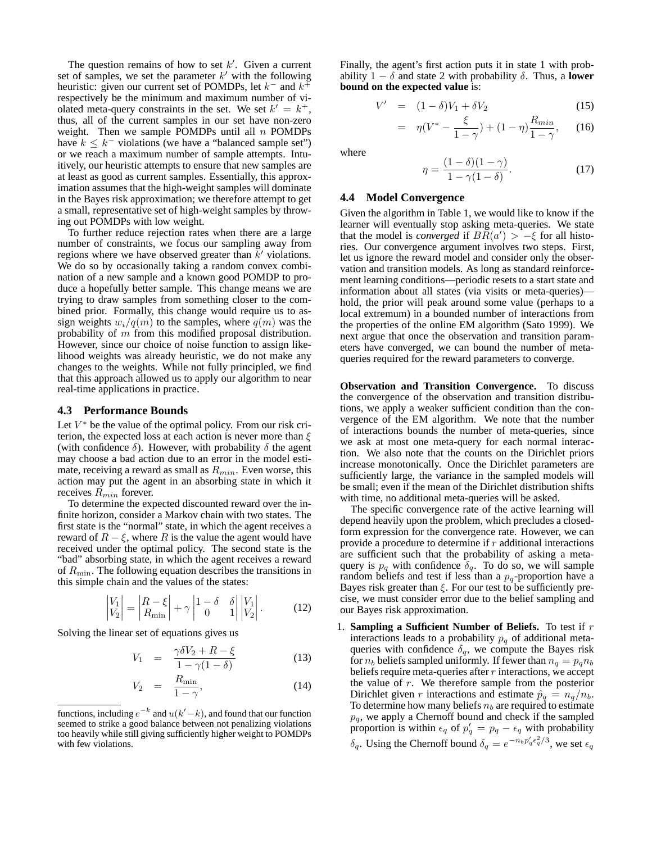The question remains of how to set  $k'$ . Given a current set of samples, we set the parameter  $k'$  with the following heuristic: given our current set of POMDPs, let  $k^-$  and  $k^+$ respectively be the minimum and maximum number of violated meta-query constraints in the set. We set  $k' = k^{+}$ , thus, all of the current samples in our set have non-zero weight. Then we sample POMDPs until all  $n$  POMDPs have  $k \leq k^-$  violations (we have a "balanced sample set") or we reach a maximum number of sample attempts. Intuitively, our heuristic attempts to ensure that new samples are at least as good as current samples. Essentially, this approximation assumes that the high-weight samples will dominate in the Bayes risk approximation; we therefore attempt to get a small, representative set of high-weight samples by throwing out POMDPs with low weight.

To further reduce rejection rates when there are a large number of constraints, we focus our sampling away from regions where we have observed greater than  $\vec{k}'$  violations. We do so by occasionally taking a random convex combination of a new sample and a known good POMDP to produce a hopefully better sample. This change means we are trying to draw samples from something closer to the combined prior. Formally, this change would require us to assign weights  $w_i/q(m)$  to the samples, where  $q(m)$  was the probability of m from this modified proposal distribution. However, since our choice of noise function to assign likelihood weights was already heuristic, we do not make any changes to the weights. While not fully principled, we find that this approach allowed us to apply our algorithm to near real-time applications in practice.

#### **4.3 Performance Bounds**

Let  $V^*$  be the value of the optimal policy. From our risk criterion, the expected loss at each action is never more than  $\xi$ (with confidence  $\delta$ ). However, with probability  $\delta$  the agent may choose a bad action due to an error in the model estimate, receiving a reward as small as  $R_{min}$ . Even worse, this action may put the agent in an absorbing state in which it receives  $R_{min}$  forever.

To determine the expected discounted reward over the infinite horizon, consider a Markov chain with two states. The first state is the "normal" state, in which the agent receives a reward of  $R - \xi$ , where R is the value the agent would have received under the optimal policy. The second state is the "bad" absorbing state, in which the agent receives a reward of  $R_{\text{min}}$ . The following equation describes the transitions in this simple chain and the values of the states:

$$
\begin{vmatrix} V_1 \\ V_2 \end{vmatrix} = \begin{vmatrix} R - \xi \\ R_{\min} \end{vmatrix} + \gamma \begin{vmatrix} 1 - \delta & \delta \\ 0 & 1 \end{vmatrix} \begin{vmatrix} V_1 \\ V_2 \end{vmatrix}.
$$
 (12)

Solving the linear set of equations gives us

$$
V_1 = \frac{\gamma \delta V_2 + R - \xi}{1 - \gamma (1 - \delta)} \tag{13}
$$

$$
V_2 = \frac{R_{\min}}{1 - \gamma}, \tag{14}
$$

Finally, the agent's first action puts it in state 1 with probability  $1 - \delta$  and state 2 with probability  $\delta$ . Thus, a **lower bound on the expected value** is:

$$
V' = (1 - \delta)V_1 + \delta V_2 \tag{15}
$$

$$
= \eta (V^* - \frac{\xi}{1-\gamma}) + (1-\eta) \frac{R_{min}}{1-\gamma}, \quad (16)
$$

where

$$
\eta = \frac{(1 - \delta)(1 - \gamma)}{1 - \gamma(1 - \delta)}.
$$
\n(17)

#### **4.4 Model Convergence**

Given the algorithm in Table 1, we would like to know if the learner will eventually stop asking meta-queries. We state that the model is *converged* if  $BR(a') > -\xi$  for all histories. Our convergence argument involves two steps. First, let us ignore the reward model and consider only the observation and transition models. As long as standard reinforcement learning conditions—periodic resets to a start state and information about all states (via visits or meta-queries) hold, the prior will peak around some value (perhaps to a local extremum) in a bounded number of interactions from the properties of the online EM algorithm (Sato 1999). We next argue that once the observation and transition parameters have converged, we can bound the number of metaqueries required for the reward parameters to converge.

**Observation and Transition Convergence.** To discuss the convergence of the observation and transition distributions, we apply a weaker sufficient condition than the convergence of the EM algorithm. We note that the number of interactions bounds the number of meta-queries, since we ask at most one meta-query for each normal interaction. We also note that the counts on the Dirichlet priors increase monotonically. Once the Dirichlet parameters are sufficiently large, the variance in the sampled models will be small; even if the mean of the Dirichlet distribution shifts with time, no additional meta-queries will be asked.

The specific convergence rate of the active learning will depend heavily upon the problem, which precludes a closedform expression for the convergence rate. However, we can provide a procedure to determine if  $r$  additional interactions are sufficient such that the probability of asking a metaquery is  $p_q$  with confidence  $\delta_q$ . To do so, we will sample random beliefs and test if less than a  $p_q$ -proportion have a Bayes risk greater than  $\xi$ . For our test to be sufficiently precise, we must consider error due to the belief sampling and our Bayes risk approximation.

1. **Sampling a Sufficient Number of Beliefs.** To test if r interactions leads to a probability  $p_q$  of additional metaqueries with confidence  $\delta_q$ , we compute the Bayes risk for  $n_b$  beliefs sampled uniformly. If fewer than  $n_q = p_q n_b$ beliefs require meta-queries after  $r$  interactions, we accept the value of  $r$ . We therefore sample from the posterior Dirichlet given r interactions and estimate  $\hat{p}_q = n_q/n_b$ . To determine how many beliefs  $n_b$  are required to estimate  $p_q$ , we apply a Chernoff bound and check if the sampled proportion is within  $\epsilon_q$  of  $p'_q = p_q - \epsilon_q$  with probability  $\delta_q$ . Using the Chernoff bound  $\delta_q = e^{-n_b p'_q \epsilon_q^2/3}$ , we set  $\epsilon_q$ 

functions, including  $e^{-k}$  and  $u(k'-k)$ , and found that our function seemed to strike a good balance between not penalizing violations too heavily while still giving sufficiently higher weight to POMDPs with few violations.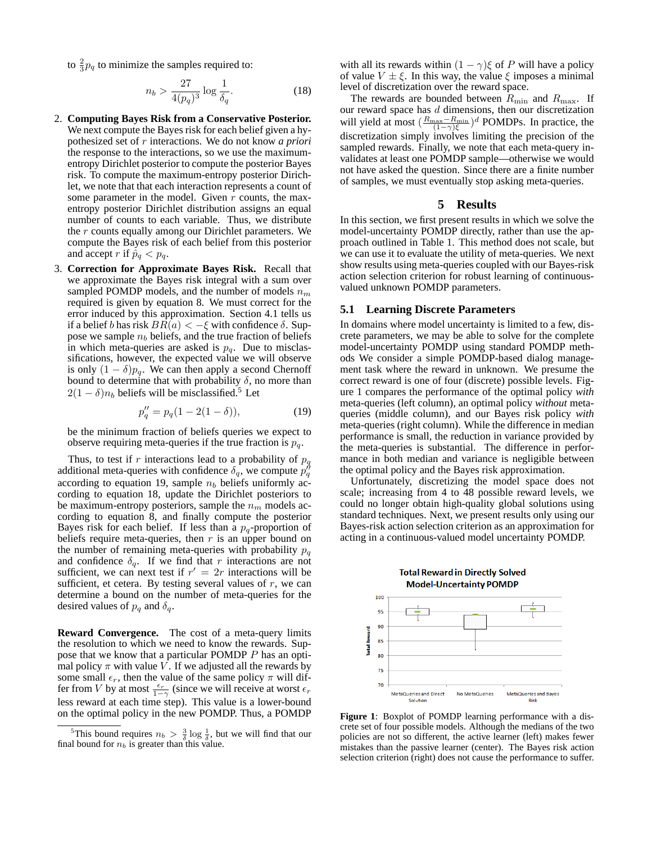to  $\frac{2}{3}p_q$  to minimize the samples required to:

$$
n_b > \frac{27}{4(p_q)^3} \log \frac{1}{\delta_q}.
$$
 (18)

- 2. **Computing Bayes Risk from a Conservative Posterior.** We next compute the Bayes risk for each belief given a hypothesized set of r interactions. We do not know *a priori* the response to the interactions, so we use the maximumentropy Dirichlet posterior to compute the posterior Bayes risk. To compute the maximum-entropy posterior Dirichlet, we note that that each interaction represents a count of some parameter in the model. Given  $r$  counts, the maxentropy posterior Dirichlet distribution assigns an equal number of counts to each variable. Thus, we distribute the  $r$  counts equally among our Dirichlet parameters. We compute the Bayes risk of each belief from this posterior and accept r if  $\hat{p}_q < p_q$ .
- 3. **Correction for Approximate Bayes Risk.** Recall that we approximate the Bayes risk integral with a sum over sampled POMDP models, and the number of models  $n_m$ required is given by equation 8. We must correct for the error induced by this approximation. Section 4.1 tells us if a belief b has risk  $BR(a) < -\xi$  with confidence  $\delta$ . Suppose we sample  $n_b$  beliefs, and the true fraction of beliefs in which meta-queries are asked is  $p_a$ . Due to misclassifications, however, the expected value we will observe is only  $(1 - \delta)p_a$ . We can then apply a second Chernoff bound to determine that with probability  $\delta$ , no more than  $2(1 - \delta)n_b$  beliefs will be misclassified.<sup>5</sup> Let

$$
p_q'' = p_q(1 - 2(1 - \delta)), \tag{19}
$$

be the minimum fraction of beliefs queries we expect to observe requiring meta-queries if the true fraction is  $p_q$ .

Thus, to test if r interactions lead to a probability of  $p<sub>q</sub>$ additional meta-queries with confidence  $\delta_q$ , we compute  $p_q^{\prime\prime}$ according to equation 19, sample  $n_b$  beliefs uniformly according to equation 18, update the Dirichlet posteriors to be maximum-entropy posteriors, sample the  $n<sub>m</sub>$  models according to equation 8, and finally compute the posterior Bayes risk for each belief. If less than a  $p_q$ -proportion of beliefs require meta-queries, then  $r$  is an upper bound on the number of remaining meta-queries with probability  $p_q$ and confidence  $\delta_q$ . If we find that r interactions are not sufficient, we can next test if  $r' = 2r$  interactions will be sufficient, et cetera. By testing several values of  $r$ , we can determine a bound on the number of meta-queries for the desired values of  $p_q$  and  $\delta_q$ .

**Reward Convergence.** The cost of a meta-query limits the resolution to which we need to know the rewards. Suppose that we know that a particular POMDP P has an optimal policy  $\pi$  with value V. If we adjusted all the rewards by some small  $\epsilon_r$ , then the value of the same policy  $\pi$  will differ from V by at most  $\frac{\epsilon_r}{1-\gamma}$  (since we will receive at worst  $\epsilon_r$ less reward at each time step). This value is a lower-bound on the optimal policy in the new POMDP. Thus, a POMDP

with all its rewards within  $(1 - \gamma)\xi$  of P will have a policy of value  $V \pm \xi$ . In this way, the value  $\xi$  imposes a minimal level of discretization over the reward space.

The rewards are bounded between  $R_{\text{min}}$  and  $R_{\text{max}}$ . If our reward space has  $d$  dimensions, then our discretization will yield at most  $(\frac{R_{\text{max}}-R_{\text{min}}}{(1-\gamma)\xi})^d$  POMDPs. In practice, the discretization simply involves limiting the precision of the sampled rewards. Finally, we note that each meta-query invalidates at least one POMDP sample—otherwise we would not have asked the question. Since there are a finite number of samples, we must eventually stop asking meta-queries.

## **5 Results**

In this section, we first present results in which we solve the model-uncertainty POMDP directly, rather than use the approach outlined in Table 1. This method does not scale, but we can use it to evaluate the utility of meta-queries. We next show results using meta-queries coupled with our Bayes-risk action selection criterion for robust learning of continuousvalued unknown POMDP parameters.

# **5.1 Learning Discrete Parameters**

In domains where model uncertainty is limited to a few, discrete parameters, we may be able to solve for the complete model-uncertainty POMDP using standard POMDP methods We consider a simple POMDP-based dialog management task where the reward in unknown. We presume the correct reward is one of four (discrete) possible levels. Figure 1 compares the performance of the optimal policy *with* meta-queries (left column), an optimal policy *without* metaqueries (middle column), and our Bayes risk policy *with* meta-queries (right column). While the difference in median performance is small, the reduction in variance provided by the meta-queries is substantial. The difference in performance in both median and variance is negligible between the optimal policy and the Bayes risk approximation.

Unfortunately, discretizing the model space does not scale; increasing from 4 to 48 possible reward levels, we could no longer obtain high-quality global solutions using standard techniques. Next, we present results only using our Bayes-risk action selection criterion as an approximation for acting in a continuous-valued model uncertainty POMDP.



**Figure 1**: Boxplot of POMDP learning performance with a discrete set of four possible models. Although the medians of the two policies are not so different, the active learner (left) makes fewer mistakes than the passive learner (center). The Bayes risk action selection criterion (right) does not cause the performance to suffer.

<sup>&</sup>lt;sup>5</sup>This bound requires  $n_b > \frac{3}{\delta} \log \frac{1}{\delta}$ , but we will find that our final bound for  $n_b$  is greater than this value.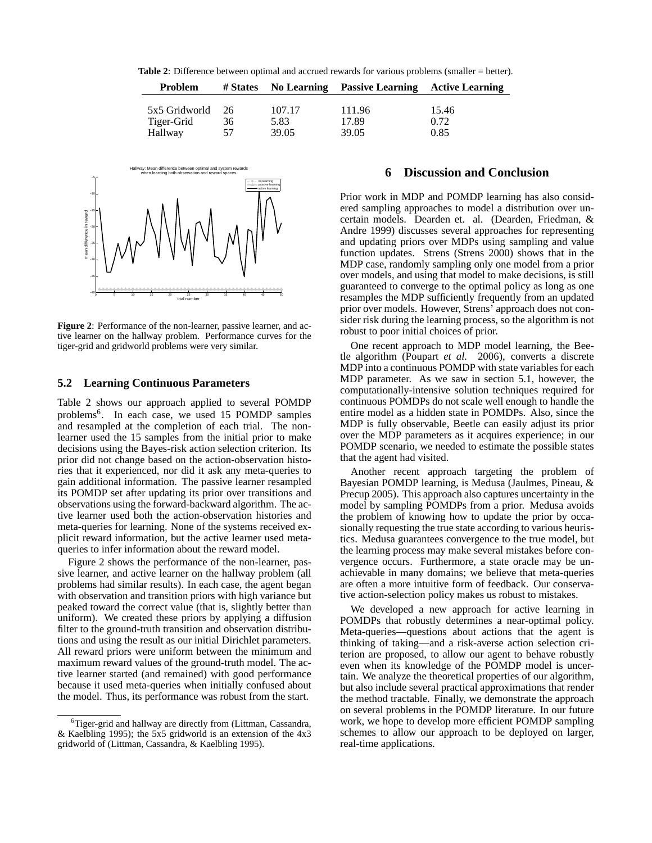**Table 2**: Difference between optimal and accrued rewards for various problems (smaller = better).

| <b>Problem</b>              |          |                | # States No Learning Passive Learning Active Learning |               |
|-----------------------------|----------|----------------|-------------------------------------------------------|---------------|
| 5x5 Gridworld<br>Tiger-Grid | 26<br>36 | 107.17<br>5.83 | 111.96<br>17.89                                       | 15.46<br>0.72 |
| Hallway                     | 57       | 39.05          | 39.05                                                 | 0.85          |



**Figure 2**: Performance of the non-learner, passive learner, and active learner on the hallway problem. Performance curves for the tiger-grid and gridworld problems were very similar.

#### **5.2 Learning Continuous Parameters**

Table 2 shows our approach applied to several POMDP problems<sup>6</sup>. In each case, we used 15 POMDP samples and resampled at the completion of each trial. The nonlearner used the 15 samples from the initial prior to make decisions using the Bayes-risk action selection criterion. Its prior did not change based on the action-observation histories that it experienced, nor did it ask any meta-queries to gain additional information. The passive learner resampled its POMDP set after updating its prior over transitions and observations using the forward-backward algorithm. The active learner used both the action-observation histories and meta-queries for learning. None of the systems received explicit reward information, but the active learner used metaqueries to infer information about the reward model.

Figure 2 shows the performance of the non-learner, passive learner, and active learner on the hallway problem (all problems had similar results). In each case, the agent began with observation and transition priors with high variance but peaked toward the correct value (that is, slightly better than uniform). We created these priors by applying a diffusion filter to the ground-truth transition and observation distributions and using the result as our initial Dirichlet parameters. All reward priors were uniform between the minimum and maximum reward values of the ground-truth model. The active learner started (and remained) with good performance because it used meta-queries when initially confused about the model. Thus, its performance was robust from the start.

# **6 Discussion and Conclusion**

Prior work in MDP and POMDP learning has also considered sampling approaches to model a distribution over uncertain models. Dearden et. al. (Dearden, Friedman, & Andre 1999) discusses several approaches for representing and updating priors over MDPs using sampling and value function updates. Strens (Strens 2000) shows that in the MDP case, randomly sampling only one model from a prior over models, and using that model to make decisions, is still guaranteed to converge to the optimal policy as long as one resamples the MDP sufficiently frequently from an updated prior over models. However, Strens' approach does not consider risk during the learning process, so the algorithm is not robust to poor initial choices of prior.

One recent approach to MDP model learning, the Beetle algorithm (Poupart *et al.* 2006), converts a discrete MDP into a continuous POMDP with state variables for each MDP parameter. As we saw in section 5.1, however, the computationally-intensive solution techniques required for continuous POMDPs do not scale well enough to handle the entire model as a hidden state in POMDPs. Also, since the MDP is fully observable, Beetle can easily adjust its prior over the MDP parameters as it acquires experience; in our POMDP scenario, we needed to estimate the possible states that the agent had visited.

Another recent approach targeting the problem of Bayesian POMDP learning, is Medusa (Jaulmes, Pineau, & Precup 2005). This approach also captures uncertainty in the model by sampling POMDPs from a prior. Medusa avoids the problem of knowing how to update the prior by occasionally requesting the true state according to various heuristics. Medusa guarantees convergence to the true model, but the learning process may make several mistakes before convergence occurs. Furthermore, a state oracle may be unachievable in many domains; we believe that meta-queries are often a more intuitive form of feedback. Our conservative action-selection policy makes us robust to mistakes.

We developed a new approach for active learning in POMDPs that robustly determines a near-optimal policy. Meta-queries—questions about actions that the agent is thinking of taking—and a risk-averse action selection criterion are proposed, to allow our agent to behave robustly even when its knowledge of the POMDP model is uncertain. We analyze the theoretical properties of our algorithm, but also include several practical approximations that render the method tractable. Finally, we demonstrate the approach on several problems in the POMDP literature. In our future work, we hope to develop more efficient POMDP sampling schemes to allow our approach to be deployed on larger, real-time applications.

 ${}^{6}$ Tiger-grid and hallway are directly from (Littman, Cassandra, & Kaelbling 1995); the 5x5 gridworld is an extension of the 4x3 gridworld of (Littman, Cassandra, & Kaelbling 1995).